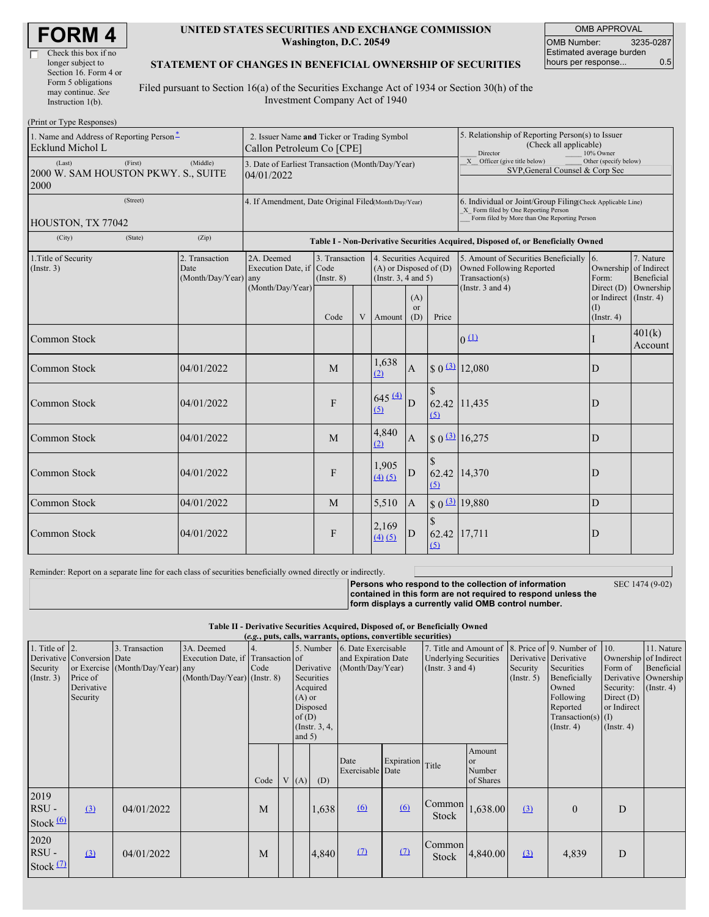| <b>FORM4</b> |
|--------------|
|--------------|

 $\Box$ 

#### **UNITED STATES SECURITIES AND EXCHANGE COMMISSION Washington, D.C. 20549**

OMB APPROVAL OMB Number: 3235-0287 Estimated average burden hours per response... 0.5

### **STATEMENT OF CHANGES IN BENEFICIAL OWNERSHIP OF SECURITIES**

Filed pursuant to Section 16(a) of the Securities Exchange Act of 1934 or Section 30(h) of the Investment Company Act of 1940

| (Print or Type Responses)                                                |            |                                                                                  |                                       |                                   |   |                                                                             |                                                                                                                                                                                                 |              |                                                                                       |                                                              |                         |
|--------------------------------------------------------------------------|------------|----------------------------------------------------------------------------------|---------------------------------------|-----------------------------------|---|-----------------------------------------------------------------------------|-------------------------------------------------------------------------------------------------------------------------------------------------------------------------------------------------|--------------|---------------------------------------------------------------------------------------|--------------------------------------------------------------|-------------------------|
| 1. Name and Address of Reporting Person <sup>*</sup><br>Ecklund Michol L |            | 2. Issuer Name and Ticker or Trading Symbol<br>Callon Petroleum Co [CPE]         |                                       |                                   |   |                                                                             | 5. Relationship of Reporting Person(s) to Issuer<br>(Check all applicable)<br>Director<br>10% Owner<br>X Officer (give title below)<br>Other (specify below)<br>SVP, General Counsel & Corp Sec |              |                                                                                       |                                                              |                         |
| (First)<br>(Last)<br>2000 W. SAM HOUSTON PKWY. S., SUITE<br>2000         | (Middle)   | 3. Date of Earliest Transaction (Month/Day/Year)<br>04/01/2022                   |                                       |                                   |   |                                                                             |                                                                                                                                                                                                 |              |                                                                                       |                                                              |                         |
| (Street)<br>HOUSTON, TX 77042                                            |            | 4. If Amendment, Date Original Filed(Month/Day/Year)                             |                                       |                                   |   |                                                                             | 6. Individual or Joint/Group Filing(Check Applicable Line)<br>X Form filed by One Reporting Person<br>Form filed by More than One Reporting Person                                              |              |                                                                                       |                                                              |                         |
| (City)<br>(State)                                                        | (Zip)      | Table I - Non-Derivative Securities Acquired, Disposed of, or Beneficially Owned |                                       |                                   |   |                                                                             |                                                                                                                                                                                                 |              |                                                                                       |                                                              |                         |
| 1. Title of Security<br>2. Transaction<br>(Insert. 3)<br>Date            |            | (Month/Day/Year) any                                                             | 2A. Deemed<br>Execution Date, if Code | 3. Transaction<br>$($ Instr. $8)$ |   | 4. Securities Acquired<br>$(A)$ or Disposed of $(D)$<br>(Instr. 3, 4 and 5) |                                                                                                                                                                                                 |              | 5. Amount of Securities Beneficially 6.<br>Owned Following Reported<br>Transaction(s) | Ownership of Indirect<br>Form:                               | 7. Nature<br>Beneficial |
|                                                                          |            |                                                                                  | (Month/Day/Year)                      | Code                              | V | Amount                                                                      | (A)<br>or<br>(D)                                                                                                                                                                                | Price        | (Instr. $3$ and $4$ )                                                                 | Direct $(D)$<br>or Indirect (Instr. 4)<br>(I)<br>(Insert. 4) | Ownership               |
| <b>Common Stock</b>                                                      |            |                                                                                  |                                       |                                   |   |                                                                             |                                                                                                                                                                                                 |              | 0(1)                                                                                  |                                                              | 401(k)<br>Account       |
| Common Stock                                                             | 04/01/2022 |                                                                                  |                                       | M                                 |   | 1,638<br>(2)                                                                | A                                                                                                                                                                                               |              | $$0 \frac{(3)}{2}$ 12,080                                                             | D                                                            |                         |
| <b>Common Stock</b>                                                      | 04/01/2022 |                                                                                  |                                       | F                                 |   | $645 \frac{(4)}{4}$<br>(5)                                                  | D                                                                                                                                                                                               | (5)          | 62.42 11,435                                                                          | D                                                            |                         |
| Common Stock                                                             | 04/01/2022 |                                                                                  |                                       | M                                 |   | 4,840<br>(2)                                                                | $\mathbf{A}$                                                                                                                                                                                    |              | $$0 \frac{(3)}{16,275}$                                                               | D                                                            |                         |
| <b>Common Stock</b>                                                      | 04/01/2022 |                                                                                  |                                       | F                                 |   | 1,905<br>(4)(5)                                                             | D                                                                                                                                                                                               | (5)          | 62.42 14,370                                                                          | D                                                            |                         |
| Common Stock                                                             | 04/01/2022 |                                                                                  |                                       | M                                 |   | 5,510                                                                       | $\overline{A}$                                                                                                                                                                                  |              | $$0 \space 3$ 19,880                                                                  | ${\bf D}$                                                    |                         |
| Common Stock                                                             | 04/01/2022 |                                                                                  |                                       | F                                 |   | 2,169<br>(4)(5)                                                             | D                                                                                                                                                                                               | 62.42<br>(5) | 17,711                                                                                | D                                                            |                         |

Reminder: Report on a separate line for each class of securities beneficially owned directly or indirectly.

**Persons who respond to the collection of information contained in this form are not required to respond unless the** SEC 1474 (9-02)

**form displays a currently valid OMB control number.**

#### **Table II - Derivative Securities Acquired, Disposed of, or Beneficially Owned (***e.g.***, puts, calls, warrants, options, convertible securities)**

| 1. Title of $\vert$ 2.<br>Security<br>(Insert. 3) | Derivative Conversion Date<br>Price of<br>Derivative<br>Security | 3. Transaction<br>or Exercise (Month/Day/Year) any | 3A. Deemed<br>Execution Date, if Transaction of<br>$(Month/Day/Year)$ (Instr. 8) | Code | $(A)$ or<br>of(D)<br>and $5)$ | Derivative<br>Securities<br>Acquired<br>Disposed<br>(Instr. $3, 4,$ | 5. Number 6. Date Exercisable<br>and Expiration Date<br>(Month/Day/Year) |                  | <b>Underlying Securities</b><br>(Instr. $3$ and $4$ ) |                                     | Security<br>$($ Instr. 5 $)$ | 7. Title and Amount of 8. Price of 9. Number of<br>Derivative Derivative<br>Securities<br>Beneficially<br>Owned<br>Following<br>Reported<br>Transaction(s) $(I)$<br>$($ Instr. 4 $)$ | 10.<br>Form of<br>Derivative<br>Security:<br>Direct $(D)$<br>or Indirect<br>$($ Instr. 4 $)$ | 11. Nature<br>Ownership of Indirect<br><b>Beneficial</b><br>Ownership<br>$($ Instr. 4 $)$ |
|---------------------------------------------------|------------------------------------------------------------------|----------------------------------------------------|----------------------------------------------------------------------------------|------|-------------------------------|---------------------------------------------------------------------|--------------------------------------------------------------------------|------------------|-------------------------------------------------------|-------------------------------------|------------------------------|--------------------------------------------------------------------------------------------------------------------------------------------------------------------------------------|----------------------------------------------------------------------------------------------|-------------------------------------------------------------------------------------------|
|                                                   |                                                                  |                                                    |                                                                                  | Code | V(A)                          | (D)                                                                 | Date<br>Exercisable Date                                                 | Expiration Title |                                                       | Amount<br>or<br>Number<br>of Shares |                              |                                                                                                                                                                                      |                                                                                              |                                                                                           |
| 2019<br>$RSU -$<br>Stock $(6)$                    | (3)                                                              | 04/01/2022                                         |                                                                                  | M    |                               | 1,638                                                               | $\underline{(6)}$                                                        | 6                | Common<br>Stock                                       | 1,638.00                            | (3)                          | $\mathbf{0}$                                                                                                                                                                         | D                                                                                            |                                                                                           |
| 2020<br>RSU-<br>Stock $(2)$                       | (3)                                                              | 04/01/2022                                         |                                                                                  | M    |                               | 4,840                                                               | (7)                                                                      | (7)              | Common<br>Stock                                       | 4,840.00                            | $\Omega$                     | 4,839                                                                                                                                                                                | D                                                                                            |                                                                                           |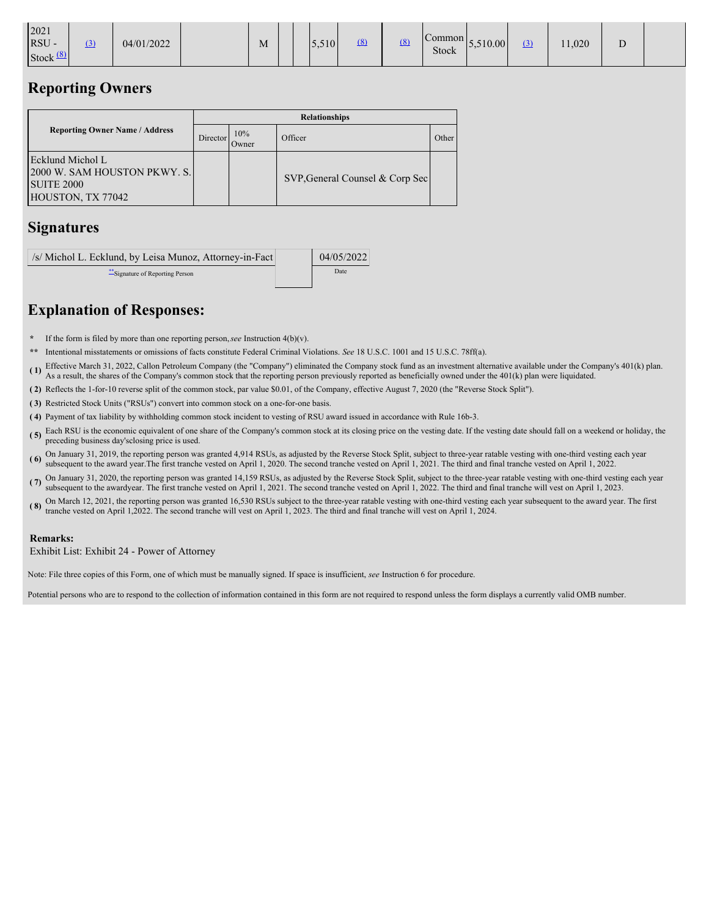|  | 2021<br><b>RSU</b><br>Stock <sup>1</sup> |  | (3) | 04/01/2022 |  | M |  |  | 5,510 | (8) | (8) | $\mathcal{L}$ ommon<br>Stock | 5,510.00 | (3) | 11,020 | ≖ |  |
|--|------------------------------------------|--|-----|------------|--|---|--|--|-------|-----|-----|------------------------------|----------|-----|--------|---|--|
|--|------------------------------------------|--|-----|------------|--|---|--|--|-------|-----|-----|------------------------------|----------|-----|--------|---|--|

## **Reporting Owners**

|                                                                                            |          |              | <b>Relationships</b>            |       |
|--------------------------------------------------------------------------------------------|----------|--------------|---------------------------------|-------|
| <b>Reporting Owner Name / Address</b>                                                      | Director | 10%<br>Owner | Officer                         | Other |
| Ecklund Michol L<br>2000 W. SAM HOUSTON PKWY. S.<br><b>SUITE 2000</b><br>HOUSTON, TX 77042 |          |              | SVP, General Counsel & Corp Sec |       |

## **Signatures**

| /s/ Michol L. Ecklund, by Leisa Munoz, Attorney-in-Fact | 04/05/2022 |
|---------------------------------------------------------|------------|
| Signature of Reporting Person                           | Date       |

# **Explanation of Responses:**

- **\*** If the form is filed by more than one reporting person,*see* Instruction 4(b)(v).
- **\*\*** Intentional misstatements or omissions of facts constitute Federal Criminal Violations. *See* 18 U.S.C. 1001 and 15 U.S.C. 78ff(a).
- **( 1)** Effective March 31, 2022, Callon Petroleum Company (the "Company") eliminated the Company stock fund as an investment alternative available under the Company's 401(k) plan. As a result, the shares of the Company's common stock that the reporting person previously reported as beneficially owned under the 401(k) plan were liquidated.
- **( 2)** Reflects the 1-for-10 reverse split of the common stock, par value \$0.01, of the Company, effective August 7, 2020 (the "Reverse Stock Split").
- **( 3)** Restricted Stock Units ("RSUs") convert into common stock on a one-for-one basis.
- **( 4)** Payment of tax liability by withholding common stock incident to vesting of RSU award issued in accordance with Rule 16b-3.
- **( 5)** Each RSU is the economic equivalent of one share of the Company's common stock at its closing price on the vesting date. If the vesting date should fall on a weekend or holiday, the preceding business day'sclosing price is used.
- **(6)** On January 31, 2019, the reporting person was granted 4,914 RSUs, as adjusted by the Reverse Stock Split, subject to three-year ratable vesting with one-third vesting each year  $\frac{1}{2}$ subsequent to the award year.The first tranche vested on April 1, 2020. The second tranche vested on April 1, 2021. The third and final tranche vested on April 1, 2022.
- ( $\overline{7}$ ) On January 31, 2020, the reporting person was granted 14,159 RSUs, as adjusted by the Reverse Stock Split, subject to the three-year ratable vesting with one-third vesting each year.<br>( $\overline{7}$ ) subsequent to th subsequent to the awardyear. The first tranche vested on April 1, 2021. The second tranche vested on April 1, 2022. The third and final tranche will vest on April 1, 2023.
- (8) On March 12, 2021, the reporting person was granted 16,530 RSUs subject to the three-year ratable vesting with one-third vesting each year subsequent to the award year. The first<br>that the subsequent to the award year. tranche vested on April 1,2022. The second tranche will vest on April 1, 2023. The third and final tranche will vest on April 1, 2024.

### **Remarks:**

Exhibit List: Exhibit 24 - Power of Attorney

Note: File three copies of this Form, one of which must be manually signed. If space is insufficient, *see* Instruction 6 for procedure.

Potential persons who are to respond to the collection of information contained in this form are not required to respond unless the form displays a currently valid OMB number.